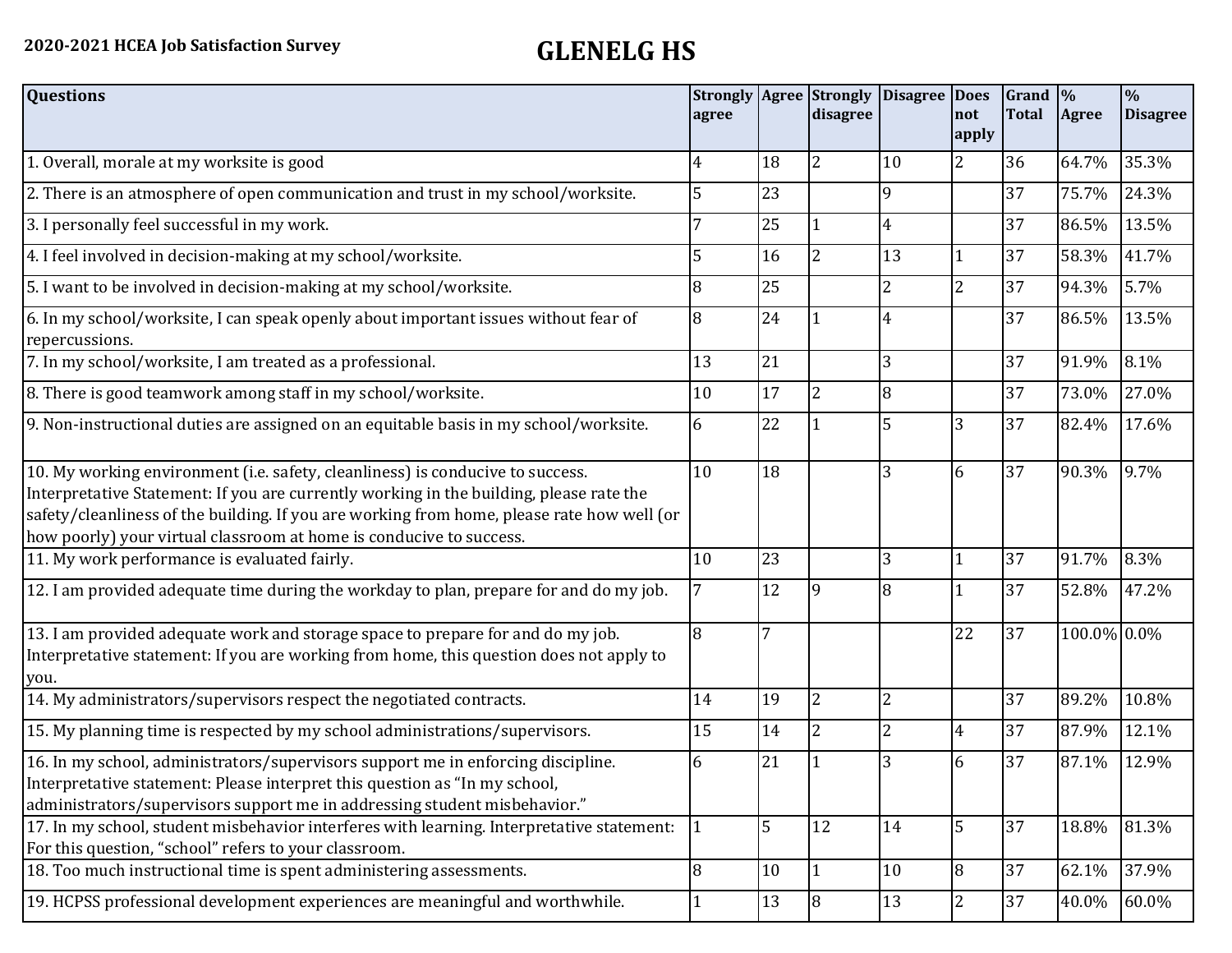| <b>Questions</b>                                                                                                                                                                                                                                                                                                                               | agree |    | <b>Strongly Agree Strongly</b><br>disagree | <b>Disagree</b> | <b>Does</b><br>not<br>apply | Grand $\frac{9}{6}$<br><b>Total</b> | Agree       | $\frac{0}{6}$<br><b>Disagree</b> |
|------------------------------------------------------------------------------------------------------------------------------------------------------------------------------------------------------------------------------------------------------------------------------------------------------------------------------------------------|-------|----|--------------------------------------------|-----------------|-----------------------------|-------------------------------------|-------------|----------------------------------|
| 1. Overall, morale at my worksite is good                                                                                                                                                                                                                                                                                                      | 4     | 18 | $\overline{2}$                             | 10              | $\overline{2}$              | 36                                  | 64.7%       | 35.3%                            |
| 2. There is an atmosphere of open communication and trust in my school/worksite.                                                                                                                                                                                                                                                               | 5     | 23 |                                            | $\mathbf{q}$    |                             | 37                                  | 75.7%       | 24.3%                            |
| 3. I personally feel successful in my work.                                                                                                                                                                                                                                                                                                    |       | 25 |                                            | $\overline{4}$  |                             | 37                                  | 86.5%       | 13.5%                            |
| 4. I feel involved in decision-making at my school/worksite.                                                                                                                                                                                                                                                                                   | 5     | 16 | $\overline{2}$                             | 13              | $\mathbf{1}$                | 37                                  | 58.3%       | 41.7%                            |
| 5. I want to be involved in decision-making at my school/worksite.                                                                                                                                                                                                                                                                             | 8     | 25 |                                            | $\overline{2}$  | $\overline{c}$              | 37                                  | 94.3%       | 5.7%                             |
| 6. In my school/worksite, I can speak openly about important issues without fear of<br>repercussions.                                                                                                                                                                                                                                          | 8     | 24 |                                            | 4               |                             | 37                                  | 86.5%       | 13.5%                            |
| 7. In my school/worksite, I am treated as a professional.                                                                                                                                                                                                                                                                                      | 13    | 21 |                                            | $\overline{3}$  |                             | 37                                  | 91.9%       | 8.1%                             |
| 8. There is good teamwork among staff in my school/worksite.                                                                                                                                                                                                                                                                                   | 10    | 17 | 2                                          | 8               |                             | 37                                  | 73.0%       | 27.0%                            |
| 9. Non-instructional duties are assigned on an equitable basis in my school/worksite.                                                                                                                                                                                                                                                          | 6     | 22 |                                            | 5               | 3                           | 37                                  | 82.4%       | 17.6%                            |
| 10. My working environment (i.e. safety, cleanliness) is conducive to success.<br>Interpretative Statement: If you are currently working in the building, please rate the<br>safety/cleanliness of the building. If you are working from home, please rate how well (or<br>how poorly) your virtual classroom at home is conducive to success. | 10    | 18 |                                            | 3               | 6                           | 37                                  | 90.3%       | 9.7%                             |
| 11. My work performance is evaluated fairly.                                                                                                                                                                                                                                                                                                   | 10    | 23 |                                            | 3               | 1                           | 37                                  | 91.7%       | 8.3%                             |
| 12. I am provided adequate time during the workday to plan, prepare for and do my job.                                                                                                                                                                                                                                                         | 7     | 12 |                                            | 8               | 1                           | 37                                  | 52.8%       | 47.2%                            |
| 13. I am provided adequate work and storage space to prepare for and do my job.<br>Interpretative statement: If you are working from home, this question does not apply to<br>you.                                                                                                                                                             | 8     | 7  |                                            |                 | 22                          | 37                                  | 100.0% 0.0% |                                  |
| 14. My administrators/supervisors respect the negotiated contracts.                                                                                                                                                                                                                                                                            | 14    | 19 | $\overline{2}$                             | $\overline{2}$  |                             | 37                                  | 89.2%       | 10.8%                            |
| 15. My planning time is respected by my school administrations/supervisors.                                                                                                                                                                                                                                                                    | 15    | 14 | $\overline{2}$                             | $\overline{2}$  | $\overline{4}$              | 37                                  | 87.9%       | 12.1%                            |
| 16. In my school, administrators/supervisors support me in enforcing discipline.<br>Interpretative statement: Please interpret this question as "In my school,<br>administrators/supervisors support me in addressing student misbehavior."                                                                                                    | 6     | 21 |                                            |                 | 6                           | 37                                  | 87.1%       | 12.9%                            |
| 17. In my school, student misbehavior interferes with learning. Interpretative statement:<br>For this question, "school" refers to your classroom.                                                                                                                                                                                             | 1     | 5  | 12                                         | 14              | 5                           | 37                                  | 18.8%       | 81.3%                            |
| 18. Too much instructional time is spent administering assessments.                                                                                                                                                                                                                                                                            | 8     | 10 |                                            | 10              | 8                           | 37                                  | 62.1%       | 37.9%                            |
| 19. HCPSS professional development experiences are meaningful and worthwhile.                                                                                                                                                                                                                                                                  |       | 13 | $\overline{8}$                             | 13              | 2                           | 37                                  | 40.0%       | 60.0%                            |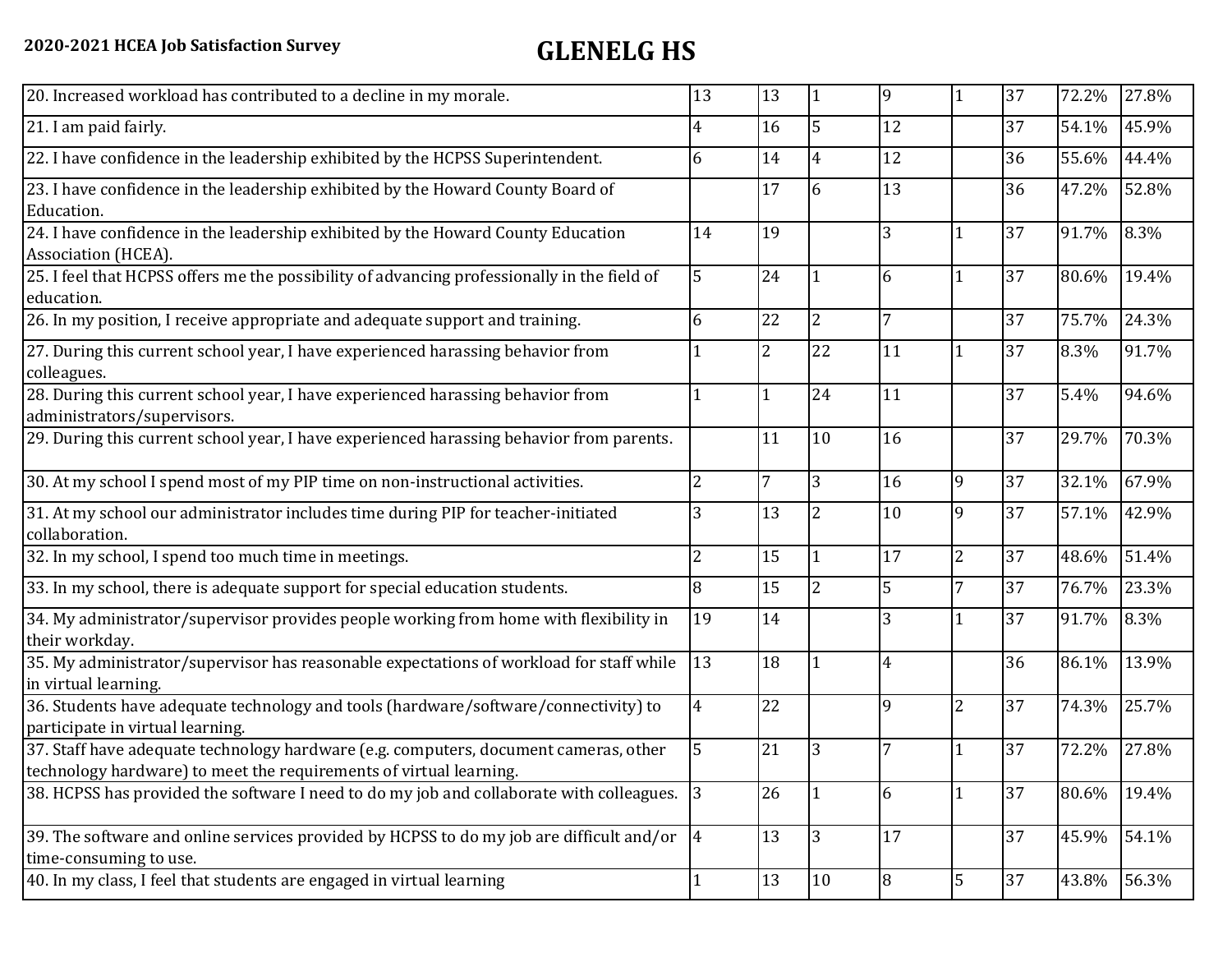| 20. Increased workload has contributed to a decline in my morale.                                                                                          | 13              | 13             | $\vert$ 1      | 9            | $\mathbf{1}$   | 37 | 72.2% | 27.8% |
|------------------------------------------------------------------------------------------------------------------------------------------------------------|-----------------|----------------|----------------|--------------|----------------|----|-------|-------|
| 21. I am paid fairly.                                                                                                                                      | 4               | 16             | 5              | 12           |                | 37 | 54.1% | 45.9% |
| 22. I have confidence in the leadership exhibited by the HCPSS Superintendent.                                                                             | 6               | 14             | 4              | 12           |                | 36 | 55.6% | 44.4% |
| 23. I have confidence in the leadership exhibited by the Howard County Board of<br>Education.                                                              |                 | 17             | 6              | 13           |                | 36 | 47.2% | 52.8% |
| 24. I have confidence in the leadership exhibited by the Howard County Education<br>Association (HCEA).                                                    | 14              | 19             |                | 3            |                | 37 | 91.7% | 8.3%  |
| 25. I feel that HCPSS offers me the possibility of advancing professionally in the field of<br>education.                                                  | 5               | 24             |                | 6            |                | 37 | 80.6% | 19.4% |
| 26. In my position, I receive appropriate and adequate support and training.                                                                               | 6               | 22             | $\overline{2}$ | 7            |                | 37 | 75.7% | 24.3% |
| 27. During this current school year, I have experienced harassing behavior from<br>colleagues.                                                             |                 | $\overline{2}$ | 22             | 11           |                | 37 | 8.3%  | 91.7% |
| 28. During this current school year, I have experienced harassing behavior from<br>administrators/supervisors.                                             | $\mathbf{1}$    | 1              | 24             | 11           |                | 37 | 5.4%  | 94.6% |
| 29. During this current school year, I have experienced harassing behavior from parents.                                                                   |                 | 11             | 10             | 16           |                | 37 | 29.7% | 70.3% |
| 30. At my school I spend most of my PIP time on non-instructional activities.                                                                              | $\overline{2}$  | 7              | 3              | 16           | 9              | 37 | 32.1% | 67.9% |
| 31. At my school our administrator includes time during PIP for teacher-initiated<br>collaboration.                                                        | 3               | 13             | $\overline{2}$ | 10           | 9              | 37 | 57.1% | 42.9% |
| 32. In my school, I spend too much time in meetings.                                                                                                       | $\overline{2}$  | 15             |                | 17           | $\overline{2}$ | 37 | 48.6% | 51.4% |
| 33. In my school, there is adequate support for special education students.                                                                                | 8               | 15             | 2              | 5            | 7              | 37 | 76.7% | 23.3% |
| 34. My administrator/supervisor provides people working from home with flexibility in<br>their workday.                                                    | 19              | 14             |                | 3            |                | 37 | 91.7% | 8.3%  |
| 35. My administrator/supervisor has reasonable expectations of workload for staff while<br>in virtual learning.                                            | 13              | 18             |                | 4            |                | 36 | 86.1% | 13.9% |
| 36. Students have adequate technology and tools (hardware/software/connectivity) to<br>participate in virtual learning.                                    | $\overline{4}$  | 22             |                | $\mathbf{q}$ | $\overline{2}$ | 37 | 74.3% | 25.7% |
| 37. Staff have adequate technology hardware (e.g. computers, document cameras, other<br>technology hardware) to meet the requirements of virtual learning. | 5               | 21             | 3              |              | $\mathbf{1}$   | 37 | 72.2% | 27.8% |
| 38. HCPSS has provided the software I need to do my job and collaborate with colleagues.                                                                   | 3               | 26             |                | 6            | $\mathbf{1}$   | 37 | 80.6% | 19.4% |
| 39. The software and online services provided by HCPSS to do my job are difficult and/or<br>time-consuming to use.                                         | $\vert 4 \vert$ | 13             | 3              | 17           |                | 37 | 45.9% | 54.1% |
| 40. In my class, I feel that students are engaged in virtual learning                                                                                      | $\mathbf{1}$    | 13             | 10             | 8            | 5              | 37 | 43.8% | 56.3% |
|                                                                                                                                                            |                 |                |                |              |                |    |       |       |